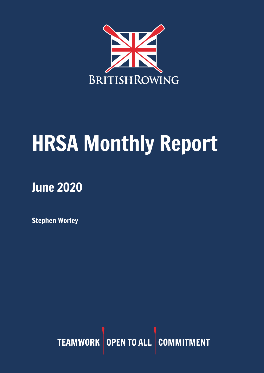

# HRSA Monthly Report

## June 2020

Stephen Worley

TEAMWORK OPEN TO ALL COMMITMENT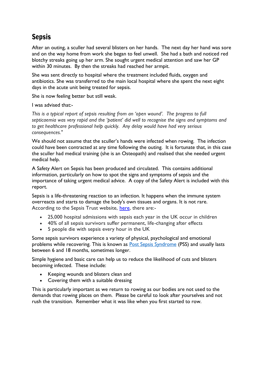## **Sepsis**

After an outing, a sculler had several blisters on her hands. The next day her hand was sore and on the way home from work she began to feel unwell. She had a bath and noticed red blotchy streaks going up her arm. She sought urgent medical attention and saw her GP within 30 minutes. By then the streaks had reached her armpit.

She was sent directly to hospital where the treatment included fluids, oxygen and antibiotics. She was transferred to the main local hospital where she spent the next eight days in the acute unit being treated for sepsis.

She is now feeling better but still weak.

I was advised that:-

*This is a typical report of sepsis resulting from an 'open wound'. The progress to full septicaemia was very rapid and the 'patient' did well to recognise the signs and symptoms and to get healthcare professional help quickly. Any delay would have had very serious consequences."*

We should not assume that the sculler's hands were infected when rowing. The infection could have been contracted at any time following the outing. It is fortunate that, in this case the sculler had medical training (she is an Osteopath) and realised that she needed urgent medical help.

A Safety Alert on Sepsis has been produced and circulated. This contains additional information, particularly on how to spot the signs and symptoms of sepsis and the importance of taking urgent medical advice. A copy of the Safety Alert is included with this report.

Sepsis is a life-threatening reaction to an infection. It happens when the immune system overreacts and starts to damage the body's own tissues and organs. It is not rare. According to the Sepsis Trust website, [here,](https://sepsistrust.org/about/about-sepsis/) there are:-

- 25,000 hospital admissions with sepsis each year in the UK occur in children
- 40% of all sepsis survivors suffer permanent, life-changing after effects
- 5 people die with sepsis every hour in the UK

Some sepsis survivors experience a variety of physical, psychological and emotional problems while recovering. This is known as **Post Sepsis Syndrome** (PSS) and usually lasts between 6 and 18 months, sometimes longer.

Simple hygiene and basic care can help us to reduce the likelihood of cuts and blisters becoming infected. These include:

- Keeping wounds and blisters clean and
- Covering them with a suitable dressing

This is particularly important as we return to rowing as our bodies are not used to the demands that rowing places on them. Please be careful to look after yourselves and not rush the transition. Remember what it was like when you first started to row.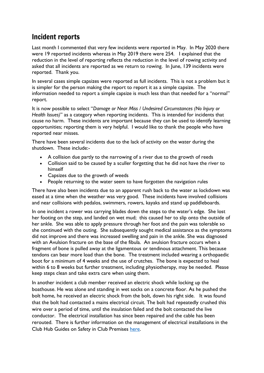## Incident reports

Last month I commented that very few incidents were reported in May. In May 2020 there were 19 reported incidents whereas in May 2019 there were 254. I explained that the reduction in the level of reporting reflects the reduction in the level of rowing activity and asked that all incidents are reported as we return to rowing. In June, 139 incidents were reported. Thank you.

In several cases simple capsizes were reported as full incidents. This is not a problem but it is simpler for the person making the report to report it as a simple capsize. The information needed to report a simple capsize is much less than that needed for a "normal" report.

It is now possible to select "*Damage or Near Miss / Undesired Circumstances (No Injury or Health Issues)*" as a category when reporting incidents. This is intended for incidents that cause no harm. These incidents are important because they can be used to identify learning opportunities; reporting them is very helpful. I would like to thank the people who have reported near misses.

There have been several incidents due to the lack of activity on the water during the shutdown. These include:-

- A collision due partly to the narrowing of a river due to the growth of reeds
- Collision said to be caused by a sculler forgetting that he did not have the river to himself
- Capsizes due to the growth of weeds
- People returning to the water seem to have forgotten the navigation rules

There have also been incidents due to an apparent rush back to the water as lockdown was eased at a time when the weather was very good. These incidents have involved collisions and near collisions with pedalos, swimmers, rowers, kayaks and stand up paddleboards.

In one incident a rower was carrying blades down the steps to the water's edge. She lost her footing on the step, and landed on wet mud; this caused her to slip onto the outside of her ankle. She was able to apply pressure through her foot and the pain was tolerable so she continued with the outing. She subsequently sought medical assistance as the symptoms did not improve and there was increased swelling and pain in the ankle. She was diagnosed with an Avulsion fracture on the base of the fibula. An avulsion fracture occurs when a fragment of bone is pulled away at the ligamentous or tendinous attachment. This because tendons can bear more load than the bone. The treatment included wearing a orthopaedic boot for a minimum of 4 weeks and the use of crutches. The bone is expected to heal within 6 to 8 weeks but further treatment, including physiotherapy, may be needed. Please keep steps clean and take extra care when using them.

In another incident a club member received an electric shock while locking up the boathouse. He was alone and standing in wet socks on a concrete floor. As he pushed the bolt home, he received an electric shock from the bolt, down his right side. It was found that the bolt had contacted a mains electrical circuit. The bolt had repeatedly crushed this wire over a period of time, until the insulation failed and the bolt contacted the live conductor. The electrical installation has since been repaired and the cable has been rerouted. There is further information on the management of electrical installations in the Club Hub Guides on Safety in Club Premises [here.](https://www.britishrowing.org/wp-content/uploads/2018/04/3.-Safety-of-electrical-equipment-and-installations.pdf)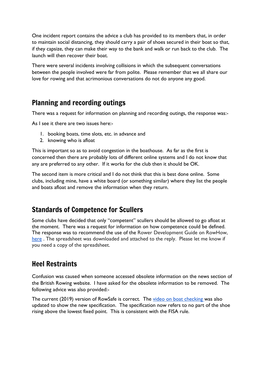One incident report contains the advice a club has provided to its members that, in order to maintain social distancing, they should carry a pair of shoes secured in their boat so that, if they capsize, they can make their way to the bank and walk or run back to the club. The launch will then recover their boat.

There were several incidents involving collisions in which the subsequent conversations between the people involved were far from polite. Please remember that we all share our love for rowing and that acrimonious conversations do not do anyone any good.

## Planning and recording outings

There was a request for information on planning and recording outings, the response was:-

As I see it there are two issues here:-

- 1. booking boats, time slots, etc. in advance and
- 2. knowing who is afloat

This is important so as to avoid congestion in the boathouse. As far as the first is concerned then there are probably lots of different online systems and I do not know that any are preferred to any other. If it works for the club then it should be OK.

The second item is more critical and I do not think that this is best done online. Some clubs, including mine, have a white board (or something similar) where they list the people and boats afloat and remove the information when they return.

## Standards of Competence for Scullers

Some clubs have decided that only "competent" scullers should be allowed to go afloat at the moment. There was a request for information on how competence could be defined. The response was to recommend the use of the Rower Development Guide on RowHow, [here](https://www.rowhow.org/course/view.php?id=160). The spreadsheet was downloaded and attached to the reply. Please let me know if you need a copy of the spreadsheet.

## Heel Restraints

Confusion was caused when someone accessed obsolete information on the news section of the British Rowing website. I have asked for the obsolete information to be removed. The following advice was also provided:-

The current (2019) version of RowSafe is correct. The [video on boat checking w](https://www.youtube.com/watch?v=Jv294UHbj0s&feature=youtu.be)as also updated to show the new specification. The specification now refers to no part of the shoe rising above the lowest fixed point. This is consistent with the FISA rule.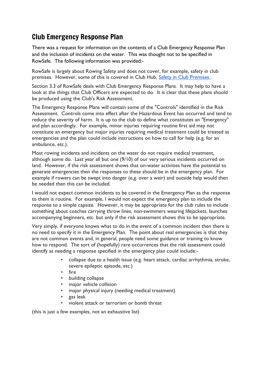## Club Emergency Response Plan

There was a request for information on the contents of a Club Emergency Response Plan and the inclusion of incidents on the water. This was thought not to be specified in RowSafe. The following information was provided:-

RowSafe is largely about Rowing Safety and does not cover, for example, safety in club premises. However, some of this is covered in Club Hub, Safety in Club [Premises](https://www.britishrowing.org/knowledge/british-rowing-clubhub/british-rowing-clubhub-guides/safety-in-club-premises/) .

Section 3.3 of RowSafe deals with Club Emergency Response Plans. It may help to have a look at the things that Club Officers are expected to do. It is clear that these plans should be produced using the Club's Risk Assessment.

The Emergency Response Plans will contain some of the "Controls" identified in the Risk Assessment. Controls come into effect after the Hazardous Event has occurred and tend to reduce the severity of harm. It is up to the club to define what constitutes an "Emergency" and plan accordingly. For example, minor injuries requiring routine first aid may not constitute an emergency but major injuries requiring medical treatment could be treated as emergencies and the plan could include instructions on how to call for help (e.g. for an ambulance, etc.).

Most rowing incidents and incidents on the water do not require medical treatment, although some do. Last year all but one (9/10) of our very serious incidents occurred on land. However, if the risk assessment shows that on-water activities have the potential to generate emergencies then the responses to these should be in the emergency plan. For example if rowers can be swept into danger (e.g. over a weir) and outside help would then be needed then this can be included.

I would not expect common incidents to be covered in the Emergency Plan as the response to them is routine. For example, I would not expect the emergency plan to include the response to a simple capsize. However, it may be appropriate for the club rules to include something about coaches carrying throw lines, non-swimmers wearing lifejackets, launches accompanying beginners, etc. but only if the risk assessment shows this to be appropriate.

Very simply, if everyone knows what to do in the event of a common incident then there is no need to specify it in the Emergency Plan. The point about real emergencies is that they are not common events and, in general, people need some guidance or training to know how to respond. The sort of (hopefully) rare occurrences that the risk assessment could identify as needing a response specified in the emergency plan could include:-

- collapse due to a health issue (e.g. heart attack, cardiac arrhythmia, stroke, severe epileptic episode, etc.)
- fire
- building collapse
- major vehicle collision
- major physical injury (needing medical treatment)
- gas leak
- violent attack or terrorism or bomb threat

(this is just a few examples, not an exhaustive list)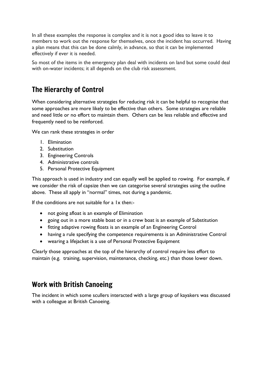In all these examples the response is complex and it is not a good idea to leave it to members to work out the response for themselves, once the incident has occurred. Having a plan means that this can be done calmly, in advance, so that it can be implemented effectively if ever it is needed.

So most of the items in the emergency plan deal with incidents on land but some could deal with on-water incidents; it all depends on the club risk assessment.

## The Hierarchy of Control

When considering alternative strategies for reducing risk it can be helpful to recognise that some approaches are more likely to be effective than others. Some strategies are reliable and need little or no effort to maintain them. Others can be less reliable and effective and frequently need to be reinforced.

We can rank these strategies in order

- 1. Elimination
- 2. Substitution
- 3. Engineering Controls
- 4. Administrative controls
- 5. Personal Protective Equipment

This approach is used in industry and can equally well be applied to rowing. For example, if we consider the risk of capsize then we can categorise several strategies using the outline above. These all apply in "normal" times, not during a pandemic.

If the conditions are not suitable for a 1x then:-

- not going afloat is an example of Elimination
- going out in a more stable boat or in a crew boat is an example of Substitution
- fitting adaptive rowing floats is an example of an Engineering Control
- having a rule specifying the competence requirements is an Administrative Control
- wearing a lifejacket is a use of Personal Protective Equipment

Clearly those approaches at the top of the hierarchy of control require less effort to maintain (e.g. training, supervision, maintenance, checking, etc.) than those lower down.

## Work with British Canoeing

The incident in which some scullers interacted with a large group of kayakers was discussed with a colleague at British Canoeing.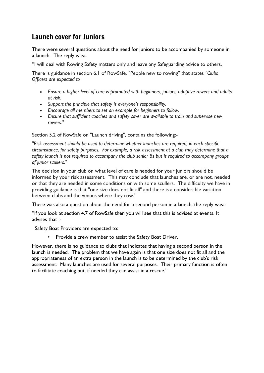## Launch cover for Juniors

There were several questions about the need for juniors to be accompanied by someone in a launch. The reply was:-

"I will deal with Rowing Safety matters only and leave any Safeguarding advice to others.

There is guidance in section 6.1 of RowSafe, "People new to rowing" that states *"Clubs Officers are expected to*

- *Ensure a higher level of care is promoted with beginners, juniors, adaptive rowers and adults at risk.*
- *Support the principle that safety is everyone's responsibility.*
- *Encourage all members to set an example for beginners to follow.*
- *Ensure that sufficient coaches and safety cover are available to train and supervise new rowers."*

Section 5.2 of RowSafe on "Launch driving", contains the following:-

*"Risk assessment should be used to determine whether launches are required, in each specific circumstance, for safety purposes. For example, a risk assessment at a club may determine that a safety launch is not required to accompany the club senior 8s but is required to accompany groups of junior scullers."*

The decision in your club on what level of care is needed for your juniors should be informed by your risk assessment. This may conclude that launches are, or are not, needed or that they are needed in some conditions or with some scullers. The difficulty we have in providing guidance is that "one size does not fit all" and there is a considerable variation between clubs and the venues where they row."

There was also a question about the need for a second person in a launch, the reply was:-

"If you look at section 4.7 of RowSafe then you will see that this is advised at events. It advises that :-

Safety Boat Providers are expected to:

Provide a crew member to assist the Safety Boat Driver.

However, there is no guidance to clubs that indicates that having a second person in the launch is needed. The problem that we have again is that one size does not fit all and the appropriateness of an extra person in the launch is to be determined by the club's risk assessment. Many launches are used for several purposes. Their primary function is often to facilitate coaching but, if needed they can assist in a rescue."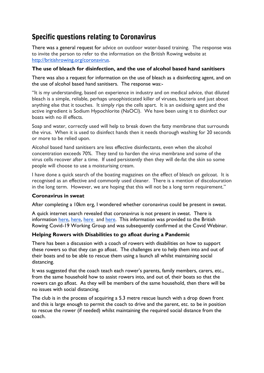## Specific questions relating to Coronavirus

There was a general request for advice on outdoor water-based training. The response was to invite the person to refer to the information on the British Rowing website at [http://britishrowing.org/coronavirus.](http://britishrowing.org/coronavirus)

## **The use of bleach for disinfection, and the use of alcohol based hand sanitisers**

There was also a request for information on the use of bleach as a disinfecting agent, and on the use of alcohol based hand sanitisers. The response was:-

"It is my understanding, based on experience in industry and on medical advice, that diluted bleach is a simple, reliable, perhaps unsophisticated killer of viruses, bacteria and just about anything else that it touches. It simply rips the cells apart. It is an oxidising agent and the active ingredient is Sodium Hypochlorite (NaOCl). We have been using it to disinfect our boats with no ill effects.

Soap and water, correctly used will help to break down the fatty membrane that surrounds the virus. When it is used to disinfect hands then it needs thorough washing for 20 seconds or more to be relied upon.

Alcohol based hand sanitisers are less effective disinfectants, even when the alcohol concentration exceeds 70%. They tend to harden the virus membrane and some of the virus cells recover after a time. If used persistently then they will de-fat the skin so some people will choose to use a moisturising cream.

I have done a quick search of the boating magazines on the effect of bleach on gelcoat. It is recognised as an effective and commonly used cleaner. There is a mention of discolouration in the long term. However, we are hoping that this will not be a long term requirement."

#### **Coronavirus in sweat**

After completing a 10km erg, I wondered whether coronavirus could be present in sweat.

A quick internet search revealed that coronavirus is not present in sweat. There is information [here,](https://newyork.cbslocal.com/2020/05/13/max-minute-can-coronavirus-be-transmitted-through-sweat/) [here](https://www.mercurynews.com/2020/03/20/can-coronavirus-be-spread-through-sweat-tears-urine/), here and [here.](https://www.hopkinsmedicine.org/health/conditions-and-diseases/coronavirus/coronavirus-frequently-asked-questions) This information was provided to the British Rowing Covid-19 Working Group and was subsequently confirmed at the Covid Webinar.

#### **Helping Rowers with Disabilities to go afloat during a Pandemic**

There has been a discussion with a coach of rowers with disabilities on how to support these rowers so that they can go afloat. The challenges are to help them into and out of their boats and to be able to rescue them using a launch all whilst maintaining social distancing.

It was suggested that the coach teach each rower's parents, family members, carers, etc., from the same household how to assist rowers into, and out of, their boats so that the rowers can go afloat. As they will be members of the same household, then there will be no issues with social distancing.

The club is in the process of acquiring a 5.3 metre rescue launch with a drop down front and this is large enough to permit the coach to drive and the parent, etc. to be in position to rescue the rower (if needed) whilst maintaining the required social distance from the coach.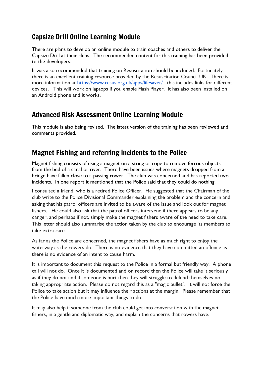## Capsize Drill Online Learning Module

There are plans to develop an online module to train coaches and others to deliver the Capsize Drill at their clubs. The recommended content for this training has been provided to the developers.

It was also recommended that training on Resuscitation should be included. Fortunately there is an excellent training resource provided by the Resuscitation Council UK. There is more information at <https://www.resus.org.uk/apps/lifesaver/> , this includes links for different devices. This will work on laptops if you enable Flash Player. It has also been installed on an Android phone and it works.

## Advanced Risk Assessment Online Learning Module

This module is also being revised. The latest version of the training has been reviewed and comments provided.

## Magnet Fishing and referring incidents to the Police

Magnet fishing consists of using a magnet on a string or rope to remove ferrous objects from the bed of a canal or river. There have been issues where magnets dropped from a bridge have fallen close to a passing rower. The club was concerned and has reported two incidents. In one report it mentioned that the Police said that they could do nothing.

I consulted a friend, who is a retired Police Officer. He suggested that the Chairman of the club write to the Police Divisional Commander explaining the problem and the concern and asking that his patrol officers are invited to be aware of the issue and look out for magnet fishers. He could also ask that the patrol officers intervene if there appears to be any danger, and perhaps if not, simply make the magnet fishers aware of the need to take care. This letter should also summarise the action taken by the club to encourage its members to take extra care.

As far as the Police are concerned, the magnet fishers have as much right to enjoy the waterway as the rowers do. There is no evidence that they have committed an offence as there is no evidence of an intent to cause harm.

It is important to document this request to the Police in a formal but friendly way. A phone call will not do. Once it is documented and on record then the Police will take it seriously as if they do not and if someone is hurt then they will struggle to defend themselves not taking appropriate action. Please do not regard this as a "magic bullet". It will not force the Police to take action but it may influence their actions at the margin. Please remember that the Police have much more important things to do.

It may also help if someone from the club could get into conversation with the magnet fishers, in a gentle and diplomatic way, and explain the concerns that rowers have.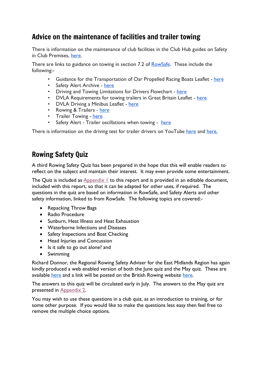## Advice on the maintenance of facilities and trailer towing

There is information on the maintenance of club facilities in the Club Hub guides on Safety in Club Premises, [here.](https://www.britishrowing.org/knowledge/british-rowing-clubhub/british-rowing-clubhub-guides/safety-in-club-premises/)

There are links to guidance on towing in section 7.2 of **RowSafe**. These include the following:-

- Guidance for the Transportation of Oar Propelled Racing Boats Leaflet [here](http://britishrowing.org/wp-content/uploads/2015/09/TowingGuidance.pdf?ef682d)
- Safety Alert Archive [here](http://britishrowing.org/knowledge/safety/safety-alert-archive)
- Driving and Towing Limitations for Drivers Flowchart [here](http://britishrowing.org/wp-content/uploads/2015/09/TowingFlowChart.pdf?ef682d)
- DVLA Requirements for towing trailers in Great Britain Leaflet [here](http://britishrowing.org/wpcontent/uploads/2015/09/INF301.pdf?ef682d)
- DVLA Driving a Minibus Leaflet [here](http://britishrowing.org/wp-content/uploads/2015/09/DVLAMinibusDriving-Inf28.pdf?ef682d)
- Rowing & Trailers [here](https://www.britishrowing.org/wp-content/uploads/2015/09/RowingnTrailers-RM-Jun-08.pdf?ef682d)
- Trailer Towing [here](http://rowhow.org/course/view.php?id=108)
- Safety Alert Trailer oscillations when towing here

T[here](https://www.youtube.com/watch?v=XcrL_MpClp0) is information on the driving test for trailer drivers on YouTube here and [here.](https://www.youtube.com/watch?v=Mk-DGbPY4fY)

## Rowing Safety Quiz

A third Rowing Safety Quiz has been prepared in the hope that this will enable readers to reflect on the subject and maintain their interest. It may even provide some entertainment.

The Quiz is included as [Appendix](#page-10-0) 1 to this report and is provided in an editable document, included with this report, so that it can be adapted for other uses, if required. The questions in the quiz are based on information in RowSafe, and Safety Alerts and other safety information, linked to from RowSafe. The following topics are covered:-

- Repacking Throw Bags
- Radio Procedure
- Sunburn, Heat Illness and Heat Exhaustion
- Waterborne Infections and Diseases
- Safety Inspections and Boat Checking
- Head Injuries and Concussion
- Is it safe to go out alone? and
- Swimming

Richard Donnor, the Regional Rowing Safety Adviser for the East Midlands Region has again kindly produced a web enabled version of both the June quiz and the May quiz. These are available [here](https://eastmidlandsrowing.co.uk/rowing-safety-quiz-june-2020/) and a link will be posted on the British Rowing website [here.](https://www.britishrowing.org/knowledge/safety/hrsa-monthly-report-archive/)

The answers to this quiz will be circulated early in July. The answers to the May quiz are presented in [Appendix](#page-21-0) 2.

You may wish to use these questions in a club quiz, as an introduction to training, or for some other purpose. If you would like to make the questions less easy then feel free to remove the multiple choice options.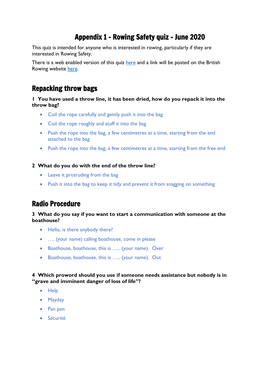## Appendix 1 - Rowing Safety quiz - June 2020

<span id="page-10-0"></span>This quiz is intended for anyone who is interested in rowing, particularly if they are interested in Rowing Safety.

T[here](https://eastmidlandsrowing.co.uk/rowing-safety-quiz-june-2020/) is a web enabled version of this quiz here and a link will be posted on the British Rowing website [here.](https://www.britishrowing.org/knowledge/safety/hrsa-monthly-report-archive/)

## Repacking throw bags

#### **1 You have used a throw line, it has been dried, how do you repack it into the throw bag?**

- Coil the rope carefully and gently push it into the bag
- Coil the rope roughly and stuff it into the bag
- Push the rope into the bag, a few centimetres at a time, starting from the end attached to the bag
- Push the rope into the bag, a few centimetres at a time, starting from the free end

#### **2 What do you do with the end of the throw line?**

- Leave it protruding from the bag
- Push it into the bag to keep it tidy and prevent it from snagging on something

## Radio Procedure

#### **3 What do you say if you want to start a communication with someone at the boathouse?**

- Hello, is there anybody there?
- …. (your name) calling boathouse, come in please
- Boathouse, boathouse, this is ….. (your name). Over
- Boathouse, boathouse, this is ….. (your name). Out

#### **4 Which proword should you use if someone needs assistance but nobody is in "grave and imminent danger of loss of life"?**

- Help
- Mayday
- Pan pan
- Sécurité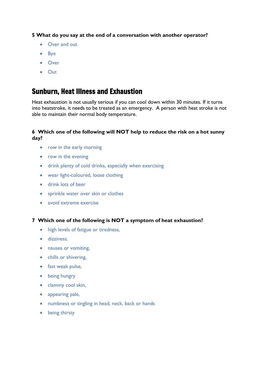## **5 What do you say at the end of a conversation with another operator?**

- Over and out
- Bye
- Over
- Out

## Sunburn, Heat Illness and Exhaustion

Heat exhaustion is not usually serious if you can cool down within 30 minutes. If it turns into heatstroke, it needs to be treated as an emergency. A person with heat stroke is not able to maintain their normal body temperature.

## **6 Which one of the following will NOT help to reduce the risk on a hot sunny day?**

- row in the early morning
- row in the evening
- drink plenty of cold drinks, especially when exercising
- wear light-coloured, loose clothing
- drink lots of beer
- sprinkle water over skin or clothes
- avoid extreme exercise

#### **7 Which one of the following is NOT a symptom of heat exhaustion?**

- high levels of fatigue or tiredness,
- dizziness,
- nausea or vomiting,
- chills or shivering,
- fast weak pulse,
- being hungry
- clammy cool skin,
- appearing pale,
- numbness or tingling in head, neck, back or hands
- being thirsty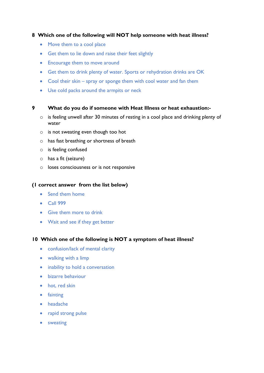#### **8 Which one of the following will NOT help someone with heat illness?**

- Move them to a cool place
- Get them to lie down and raise their feet slightly
- Encourage them to move around
- Get them to drink plenty of water. Sports or rehydration drinks are OK
- Cool their skin spray or sponge them with cool water and fan them
- Use cold packs around the armpits or neck

#### **9 What do you do if someone with Heat Illness or heat exhaustion:-**

- o is feeling unwell after 30 minutes of resting in a cool place and drinking plenty of water
- o is not sweating even though too hot
- o has fast breathing or shortness of breath
- o is feeling confused
- o has a fit (seizure)
- o loses consciousness or is not responsive

#### **(1 correct answer from the list below)**

- Send them home
- Call 999
- Give them more to drink
- Wait and see if they get better

#### **10 Which one of the following is NOT a symptom of heat illness?**

- confusion/lack of mental clarity
- walking with a limp
- inability to hold a conversation
- bizarre behaviour
- hot, red skin
- fainting
- headache
- rapid strong pulse
- sweating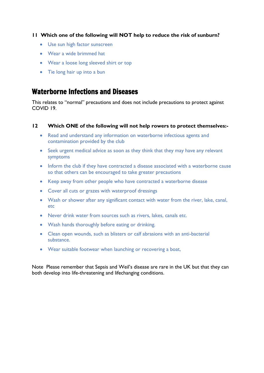## **11 Which one of the following will NOT help to reduce the risk of sunburn?**

- Use sun high factor sunscreen
- Wear a wide brimmed hat
- Wear a loose long sleeved shirt or top
- Tie long hair up into a bun

## Waterborne Infections and Diseases

This relates to "normal" precautions and does not include precautions to protect against COVID 19.

#### **12 Which ONE of the following will not help rowers to protect themselves:-**

- Read and understand any information on waterborne infectious agents and contamination provided by the club
- Seek urgent medical advice as soon as they think that they may have any relevant symptoms
- Inform the club if they have contracted a disease associated with a waterborne cause so that others can be encouraged to take greater precautions
- Keep away from other people who have contracted a waterborne disease
- Cover all cuts or grazes with waterproof dressings
- Wash or shower after any significant contact with water from the river, lake, canal, etc
- Never drink water from sources such as rivers, lakes, canals etc.
- Wash hands thoroughly before eating or drinking.
- Clean open wounds, such as blisters or calf abrasions with an anti-bacterial substance.
- Wear suitable footwear when launching or recovering a boat,

Note Please remember that Sepsis and Weil's disease are rare in the UK but that they can both develop into life-threatening and lifechanging conditions.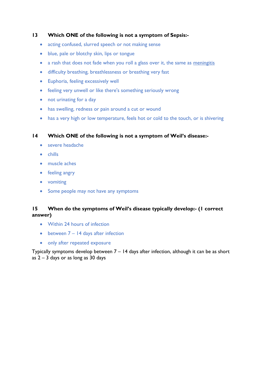## **13 Which ONE of the following is not a symptom of Sepsis:-**

- acting confused, slurred speech or not making sense
- blue, pale or blotchy skin, lips or tongue
- a rash that does not fade when you roll a glass over it, the same as [meningitis](https://www.nhs.uk/conditions/meningitis/)
- difficulty breathing, breathlessness or breathing very fast
- Euphoria, feeling excessively well
- feeling very unwell or like there's something seriously wrong
- not urinating for a day
- has swelling, redness or pain around a cut or wound
- has a very high or low temperature, feels hot or cold to the touch, or is shivering

#### **14 Which ONE of the following is not a symptom of Weil's disease:-**

- severe headache
- chills
- muscle aches
- feeling angry
- vomiting
- Some people may not have any symptoms

## **15 When do the symptoms of Weil's disease typically develop:- (1 correct answer)**

- Within 24 hours of infection
- between 7 14 days after infection
- only after repeated exposure

Typically symptoms develop between 7 – 14 days after infection, although it can be as short as  $2 - 3$  days or as long as 30 days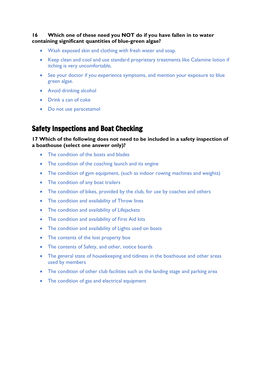## **16 Which one of these need you NOT do if you have fallen in to water containing significant quantities of blue-green algae?**

- Wash exposed skin and clothing with fresh water and soap.
- Keep clean and cool and use standard proprietary treatments like Calamine lotion if itching is very uncomfortable,
- See your doctor if you experience symptoms, and mention your exposure to blue green algae.
- Avoid drinking alcohol
- Drink a can of coke
- Do not use paracetamol

## Safety Inspections and Boat Checking

## **17 Which of the following does not need to be included in a safety inspection of a boathouse (select one answer only)?**

- The condition of the boats and blades
- The condition of the coaching launch and its engine
- The condition of gym equipment, (such as indoor rowing machines and weights)
- The condition of any boat trailers
- The condition of bikes, provided by the club, for use by coaches and others
- The condition and availability of Throw lines
- The condition and availability of Lifejackets
- The condition and availability of First Aid kits
- The condition and availability of Lights used on boats
- The contents of the lost property box
- The contents of Safety, and other, notice boards
- The general state of housekeeping and tidiness in the boathouse and other areas used by members
- The condition of other club facilities such as the landing stage and parking area
- The condition of gas and electrical equipment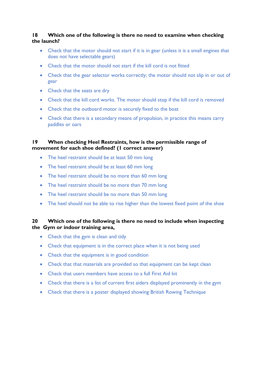## **18 Which one of the following is there no need to examine when checking the launch?**

- Check that the motor should not start if it is in gear (unless it is a small engines that does not have selectable gears)
- Check that the motor should not start if the kill cord is not fitted
- Check that the gear selector works correctly; the motor should not slip in or out of gear
- Check that the seats are dry
- Check that the kill cord works. The motor should stop if the kill cord is removed
- Check that the outboard motor is securely fixed to the boat
- Check that there is a secondary means of propulsion, in practice this means carry paddles or oars

## **19 When checking Heel Restraints, how is the permissible range of movement for each shoe defined? (1 correct answer)**

- The heel restraint should be at least 50 mm long
- The heel restraint should be at least 60 mm long
- The heel restraint should be no more than 60 mm long
- The heel restraint should be no more than 70 mm long
- The heel restraint should be no more than 50 mm long
- The heel should not be able to rise higher than the lowest fixed point of the shoe

## **20 Which one of the following is there no need to include when inspecting the Gym or indoor training area,**

- Check that the gym is clean and tidy
- Check that equipment is in the correct place when it is not being used
- Check that the equipment is in good condition
- Check that that materials are provided so that equipment can be kept clean
- Check that users members have access to a full First Aid kit
- Check that there is a list of current first aiders displayed prominently in the gym
- Check that there is a poster displayed showing British Rowing Technique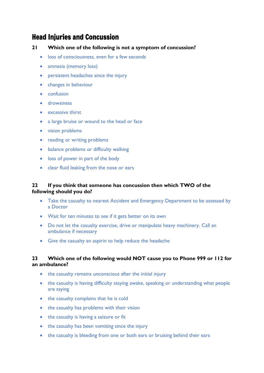## Head Injuries and Concussion

#### **21 Which one of the following is not a symptom of concussion?**

- loss of consciousness, even for a few seconds
- amnesia (memory loss)
- persistent headaches since the injury
- changes in behaviour
- confusion
- **drowsiness**
- excessive thirst
- a large bruise or wound to the head or face
- vision problems
- reading or writing problems
- balance problems or difficulty walking
- loss of power in part of the body
- clear fluid leaking from the nose or ears

#### **22 If you think that someone has concussion then which TWO of the following should you do?**

- Take the casualty to nearest Accident and Emergency Department to be assessed by a Doctor
- Wait for ten minutes to see if it gets better on its own
- Do not let the casualty exercise, drive or manipulate heavy machinery. Call an ambulance if necessary
- Give the casualty an aspirin to help reduce the headache

## **23 Which one of the following would NOT cause you to Phone 999 or 112 for an ambulance?**

- the casualty remains unconscious after the initial injury
- the casualty is having difficulty staying awake, speaking or understanding what people are saying
- the casualty complains that he is cold
- the casualty has problems with their vision
- the casualty is having a seizure or fit
- the casualty has been vomiting since the injury
- the casualty is bleeding from one or both ears or bruising behind their ears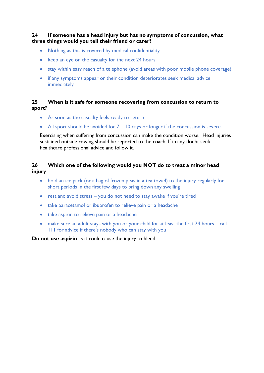**24 If someone has a head injury but has no symptoms of concussion, what three things would you tell their friend or carer?**

- Nothing as this is covered by medical confidentiality
- keep an eye on the casualty for the next 24 hours
- stay within easy reach of a telephone (avoid areas with poor mobile phone coverage)
- if any symptoms appear or their condition deteriorates seek medical advice immediately

#### **25 When is it safe for someone recovering from concussion to return to sport?**

- As soon as the casualty feels ready to return
- All sport should be avoided for  $7 10$  days or longer if the concussion is severe.

Exercising when suffering from concussion can make the condition worse. Head injuries sustained outside rowing should be reported to the coach. If in any doubt seek healthcare professional advice and follow it.

## **26 Which one of the following would you NOT do to treat a minor head injury**

- hold an ice pack (or a bag of frozen peas in a tea towel) to the injury regularly for short periods in the first few days to bring down any swelling
- rest and avoid stress you do not need to stay awake if you're tired
- take [paracetamol](https://beta.nhs.uk/medicines/paracetamol-for-adults) or [ibuprofen](https://www.nhs.uk/medicines/ibuprofen-for-adults/) to relieve pain or a headache
- take aspirin to relieve pain or a headache
- make sure an adult stays with you or your child for at least the first 24 hours call 111 for advice if there's nobody who can stay with you

#### **Do not use aspirin** as it could cause the injury to bleed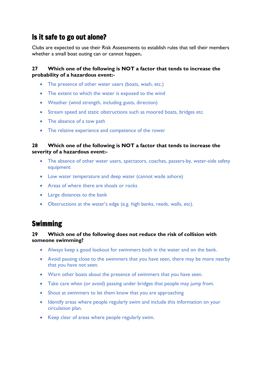## Is it safe to go out alone?

Clubs are expected to use their Risk Assessments to establish rules that tell their members whether a small boat outing can or cannot happen**.**

## **27 Which one of the following is NOT a factor that tends to increase the probability of a hazardous event:-**

- The presence of other water users (boats, wash, etc.)
- The extent to which the water is exposed to the wind
- Weather (wind strength, including gusts, direction)
- Stream speed and static obstructions such as moored boats, bridges etc.
- The absence of a tow path
- The relative experience and competence of the rower

#### **28 Which one of the following is NOT a factor that tends to increase the severity of a hazardous event:-**

- The absence of other water users, spectators, coaches, passers-by, water-side safety equipment
- Low water temperature and deep water (cannot wade ashore)
- Areas of where there are shoals or rocks
- Large distances to the bank
- Obstructions at the water's edge (e.g. high banks, reeds, walls, etc).

## Swimming

#### **29 Which one of the following does not reduce the risk of collision with someone swimming?**

- Always keep a good lookout for swimmers both in the water and on the bank.
- Avoid passing close to the swimmers that you have seen, there may be more nearby that you have not seen.
- Warn other boats about the presence of swimmers that you have seen.
- Take care when (or avoid) passing under bridges that people may jump from.
- Shout at swimmers to let them know that you are approaching
- Identify areas where people regularly swim and include this information on your circulation plan.
- Keep clear of areas where people regularly swim.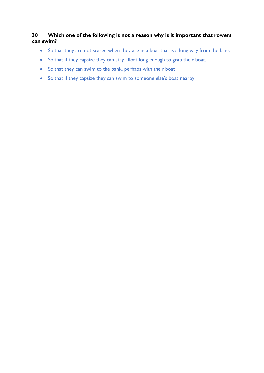## **30 Which one of the following is not a reason why is it important that rowers can swim?**

- So that they are not scared when they are in a boat that is a long way from the bank
- So that if they capsize they can stay afloat long enough to grab their boat.
- So that they can swim to the bank, perhaps with their boat
- So that if they capsize they can swim to someone else's boat nearby.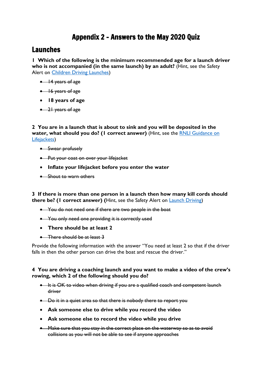## Appendix 2 – Answers to the May 2020 Quiz

## <span id="page-21-0"></span>Launches

**1 Which of the following is the minimum recommended age for a launch driver who is not accompanied (in the same launch) by an adult?** (Hint, see the Safety Alert on [Children Driving Launches\)](https://www.britishrowing.org/wp-content/uploads/2015/09/Safety-Alert-children-driving-launches-1.pdf)

- 14 years of age
- 16 years of age
- **18 years of age**
- 21 years of age

**2 You are in a launch that is about to sink and you will be deposited in the water, what should you do? (1 correct answer)** (Hint, see the [RNLI Guidance on](file:///C:/Users/Stephen%20Worley/Desktop/Quiz/RNLI%20Guidance%20on%20Life%20jackets%20-%20https:/rnli.org/-/media/rnli/downloads/rnli-guide-tolifejackets-and-buoyancy-aids.pdf%3ffd=true)  [Lifejackets\)](file:///C:/Users/Stephen%20Worley/Desktop/Quiz/RNLI%20Guidance%20on%20Life%20jackets%20-%20https:/rnli.org/-/media/rnli/downloads/rnli-guide-tolifejackets-and-buoyancy-aids.pdf%3ffd=true)

- Swear profusely
- Put your coat on over your lifejacket
- **Inflate your lifejacket before you enter the water**
- Shout to warn others

**3 If there is more than one person in a launch then how many kill cords should there be? (1 correct answer) (**Hint, see the Safety Alert on [Launch Driving\)](https://www.britishrowing.org/wp-content/uploads/2015/09/Safety-Alert-February-2015-Launch-Driving.pdf)

- You do not need one if there are two people in the boat
- You only need one providing it is correctly used
- **There should be at least 2**
- There should be at least 3

Provide the following information with the answer "You need at least 2 so that if the driver falls in then the other person can drive the boat and rescue the driver."

## **4 You are driving a coaching launch and you want to make a video of the crew's rowing, which 2 of the following should you do?**

- It is OK to video when driving if you are a qualified coach and competent launch driver
- Do it in a quiet area so that there is nobody there to report you
- **Ask someone else to drive while you record the video**
- **Ask someone else to record the video while you drive**
- Make sure that you stay in the correct place on the waterway so as to avoid collisions as you will not be able to see if anyone approaches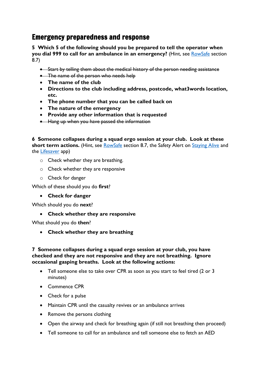## Emergency preparedness and response

**5 Which 5 of the following should you be prepared to tell the operator when you dial 999 to call for an ambulance in an emergency?** (Hint, see [RowSafe](https://www.britishrowing.org/wp-content/uploads/2019/04/Row-Safe-April-2019-online.pdf) section 8.7)

- Start by telling them about the medical history of the person needing assistance
- The name of the person who needs help
- **The name of the club**
- **Directions to the club including address, postcode, what3words location, etc.**
- **The phone number that you can be called back on**
- **The nature of the emergency**
- **Provide any other information that is requested**
- Hang up when you have passed the information

**6 Someone collapses during a squad ergo session at your club. Look at these** 

short term actions. (Hint, see [RowSafe](https://www.britishrowing.org/wp-content/uploads/2019/04/Row-Safe-April-2019-online.pdf) section 8.7, the Safety Alert on [Staying Alive](https://www.britishrowing.org/wp-content/uploads/2016/07/Safety-Alert-Staying-Alive-FINAL.pdf) and the [Lifesaver](http://life-saver.org.uk/) app)

- o Check whether they are breathing.
- o Check whether they are responsive
- o Check for danger

Which of these should you do **first**?

• **Check for danger**

Which should you do **next**?

• **Check whether they are responsive**

What should you do **then**?

• **Check whether they are breathing** 

## **7 Someone collapses during a squad ergo session at your club, you have checked and they are not responsive and they are not breathing. Ignore occasional gasping breaths. Look at the following actions:**

- Tell someone else to take over CPR as soon as you start to feel tired (2 or 3 minutes)
- Commence CPR
- Check for a pulse
- Maintain CPR until the casualty revives or an ambulance arrives
- Remove the persons clothing
- Open the airway and check for breathing again (if still not breathing then proceed)
- Tell someone to call for an ambulance and tell someone else to fetch an AED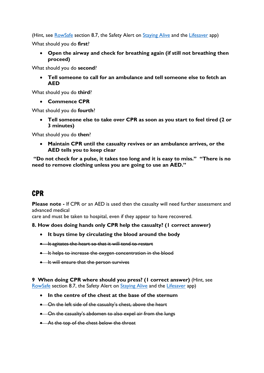(Hint, see [RowSafe](https://www.britishrowing.org/wp-content/uploads/2019/04/Row-Safe-April-2019-online.pdf) section 8.7, the Safety Alert on [Staying Alive](https://www.britishrowing.org/wp-content/uploads/2016/07/Safety-Alert-Staying-Alive-FINAL.pdf) and the [Lifesaver](http://life-saver.org.uk/) app)

What should you do **first**?

• **Open the airway and check for breathing again (if still not breathing then proceed)**

What should you do **second**?

• **Tell someone to call for an ambulance and tell someone else to fetch an AED** 

What should you do **third**?

• **Commence CPR**

What should you do **fourth**?

• **Tell someone else to take over CPR as soon as you start to feel tired (2 or 3 minutes)**

What should you do **then**?

• **Maintain CPR until the casualty revives or an ambulance arrives, or the AED tells you to keep clear**

**"Do not check for a pulse, it takes too long and it is easy to miss." "There is no need to remove clothing unless you are going to use an AED."**

## CPR

**Please note -** If CPR or an AED is used then the casualty will need further assessment and advanced medical

care and must be taken to hospital, even if they appear to have recovered.

#### **8. How does doing hands only CPR help the casualty? (1 correct answer)**

- **It buys time by circulating the blood around the body**
- It agitates the heart so that it will tend to restart
- It helps to increase the oxygen concentration in the blood
- It will ensure that the person survives

#### **9 When doing CPR where should you press? (1 correct answer)** (Hint, see [RowSafe](https://www.britishrowing.org/wp-content/uploads/2019/04/Row-Safe-April-2019-online.pdf) section 8.7, the Safety Alert on [Staying Alive](https://www.britishrowing.org/wp-content/uploads/2016/07/Safety-Alert-Staying-Alive-FINAL.pdf) and the [Lifesaver](http://life-saver.org.uk/) app)

- **In the centre of the chest at the base of the sternum**
- On the left side of the casualty's chest, above the heart
- On the casualty's abdomen to also expel air from the lungs
- At the top of the chest below the throat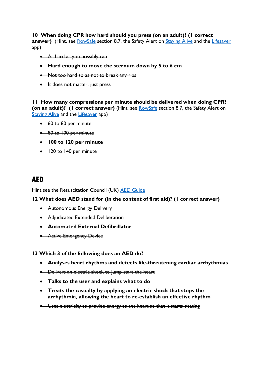## **10 When doing CPR how hard should you press (on an adult)? (1 correct**

answer) (Hint, see [RowSafe](https://www.britishrowing.org/wp-content/uploads/2019/04/Row-Safe-April-2019-online.pdf) section 8.7, the Safety Alert on [Staying Alive](https://www.britishrowing.org/wp-content/uploads/2016/07/Safety-Alert-Staying-Alive-FINAL.pdf) and the [Lifesaver](http://life-saver.org.uk/) app)

- As hard as you possibly can
- **Hard enough to move the sternum down by 5 to 6 cm**
- Not too hard so as not to break any ribs
- It does not matter, just press

**11 How many compressions per minute should be delivered when doing CPR? (on an adult)?** (I correct answer) (Hint, see **RowSafe** section 8.7, the Safety Alert on [Staying Alive](https://www.britishrowing.org/wp-content/uploads/2016/07/Safety-Alert-Staying-Alive-FINAL.pdf) and the [Lifesaver](http://life-saver.org.uk/) app)

- 60 to 80 per minute
- 80 to 100 per minute
- **100 to 120 per minute**
- 120 to 140 per minute

## AED

Hint see the Resuscitation Council (UK) [AED Guide](https://www.resus.org.uk/publications/a-guide-to-aeds/)

#### **12 What does AED stand for (in the context of first aid)? (1 correct answer)**

- Autonomous Energy Delivery
- Adjudicated Extended Deliberation
- **Automated External Defibrillator**
- Active Emergency Device

#### **13 Which 3 of the following does an AED do?**

- **Analyses heart rhythms and detects life-threatening cardiac arrhythmias**
- Delivers an electric shock to jump start the heart
- **Talks to the user and explains what to do**
- **Treats the casualty by applying an electric shock that stops the arrhythmia, allowing the heart to re-establish an effective rhythm**
- Uses electricity to provide energy to the heart so that it starts beating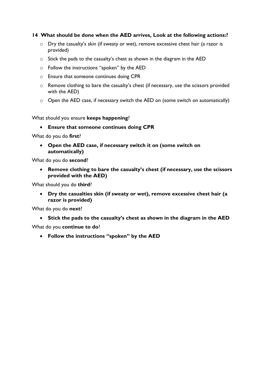#### **14 What should be done when the AED arrives, Look at the following actions:?**

- o Dry the casualty's skin (if sweaty or wet), remove excessive chest hair (a razor is provided)
- o Stick the pads to the casualty's chest as shown in the diagram in the AED
- o Follow the instructions "spoken" by the AED
- o Ensure that someone continues doing CPR
- o Remove clothing to bare the casualty's chest (if necessary, use the scissors provided with the AED)
- $\circ$  Open the AED case, if necessary switch the AED on (some switch on automatically)

What should you ensure **keeps happening**?

• **Ensure that someone continues doing CPR**

What do you do **first**?

• **Open the AED case, if necessary switch it on (some switch on automatically)**

What do you do **second**?

• **Remove clothing to bare the casualty's chest (if necessary, use the scissors provided with the AED)**

What should you do **third**?

• **Dry the casualties skin (if sweaty or wet), remove excessive chest hair (a razor is provided)**

What do you do **next**?

• **Stick the pads to the casualty's chest as shown in the diagram in the AED**

What do you **continue to do**?

• **Follow the instructions "spoken" by the AED**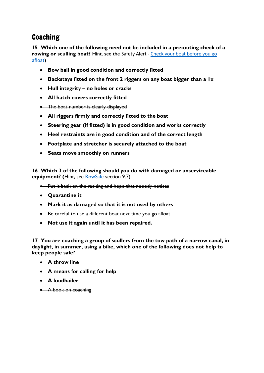## Coaching

**15 Which one of the following need not be included in a pre-outing check of a rowing or sculling boat?** Hint, see the Safety Alert - Check your boat before you go [afloat](https://www.britishrowing.org/wp-content/uploads/2015/09/Safety-Alert-Check-Your-Boat-Before-You-Go-Afloat.pdf))

- **Bow ball in good condition and correctly fitted**
- **Backstays fitted on the front 2 riggers on any boat bigger than a 1x**
- **Hull integrity – no holes or cracks**
- **All hatch covers correctly fitted**
- The boat number is clearly displayed
- **All riggers firmly and correctly fitted to the boat**
- **Steering gear (if fitted) is in good condition and works correctly**
- **Heel restraints are in good condition and of the correct length**
- **Footplate and stretcher is securely attached to the boat**
- **Seats move smoothly on runners**

**16 Which 3 of the following should you do with damaged or unserviceable equipment? (**Hint, see [RowSafe](https://www.britishrowing.org/wp-content/uploads/2019/04/Row-Safe-April-2019-online.pdf) section 9.7)

- Put it back on the racking and hope that nobody notices
- **Quarantine it**
- **Mark it as damaged so that it is not used by others**
- Be careful to use a different boat next time you go afloat
- **Not use it again until it has been repaired.**

**17 You are coaching a group of scullers from the tow path of a narrow canal, in daylight, in summer, using a bike, which one of the following does not help to keep people safe?**

- **A throw line**
- **A means for calling for help**
- **A loudhailer**
- A book on coaching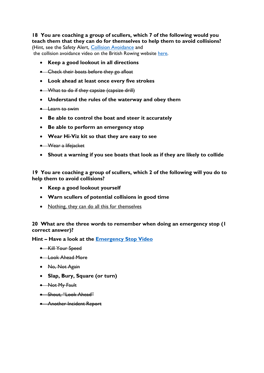## **18 You are coaching a group of scullers, which 7 of the following would you teach them that they can do for themselves to help them to avoid collisions?**

(Hint, see the Safety Alert, [Collision Avoidance](https://www.britishrowing.org/wp-content/uploads/2017/09/Safety-Alert-collision-avoidance.pdf) and the collision avoidance video on the British Rowing website [here.](https://www.britishrowing.org/knowledge/safety/collision-avoidance/)

- **Keep a good lookout in all directions**
- Check their boats before they go afloat
- **Look ahead at least once every five strokes**
- What to do if they capsize (capsize drill)
- **Understand the rules of the waterway and obey them**
- Learn to swim
- **Be able to control the boat and steer it accurately**
- **Be able to perform an emergency stop**
- **Wear Hi-Viz kit so that they are easy to see**
- Wear a lifejacket
- **Shout a warning if you see boats that look as if they are likely to collide**

**19 You are coaching a group of scullers, which 2 of the following will you do to help them to avoid collisions?**

- **Keep a good lookout yourself**
- **Warn scullers of potential collisions in good time**
- Nothing, they can do all this for themselves

**20 What are the three words to remember when doing an emergency stop (1 correct answer)?**

**Hint – Have a look at the [Emergency Stop Video](https://youtu.be/3RBfI-O_AUo)**

- Kill Your Speed
- Look Ahead More
- No, Not Again
- **Slap, Bury, Square (or turn)**
- Not My Fault
- Shout, "Look Ahead"
- Another Incident Report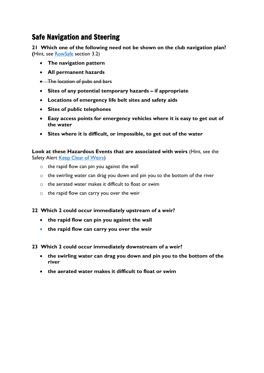## Safe Navigation and Steering

**21 Which one of the following need not be shown on the club navigation plan? (**Hint, see [RowSafe](https://www.britishrowing.org/wp-content/uploads/2019/04/Row-Safe-April-2019-online.pdf) section 3.2)

- **The navigation pattern**
- **All permanent hazards**
- The location of pubs and bars
- **Sites of any potential temporary hazards – if appropriate**
- **Locations of emergency life belt sites and safety aids**
- **Sites of public telephones**
- **Easy access points for emergency vehicles where it is easy to get out of the water**
- **Sites where it is difficult, or impossible, to get out of the water**

**Look at these Hazardous Events that are associated with weirs** (Hint, see the Safety Alert [Keep Clear of Weirs\)](https://www.britishrowing.org/wp-content/uploads/2019/12/Safety-Alert-Keep-clear-of-Weirs-Dec-2019.pdf)

- $\circ$  the rapid flow can pin you against the wall
- o the swirling water can drag you down and pin you to the bottom of the river
- o the aerated water makes it difficult to float or swim
- o the rapid flow can carry you over the weir

#### **22 Which 2 could occur immediately upstream of a weir?**

- **the rapid flow can pin you against the wall**
- **the rapid flow can carry you over the weir**
- **23 Which 2 could occur immediately downstream of a weir?**
	- **the swirling water can drag you down and pin you to the bottom of the river**
	- **the aerated water makes it difficult to float or swim**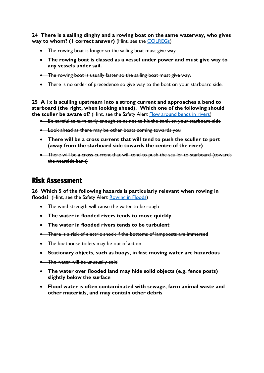**24 There is a sailing dinghy and a rowing boat on the same waterway, who gives way to whom? (1 correct answer)** (Hint, see the [COLREGs\)](http://www.mar.ist.utl.pt/mventura/Projecto-Navios-I/IMO-Conventions%20%28copies%29/COLREG-1972.pdf)

- The rowing boat is longer so the sailing boat must give way
- **The rowing boat is classed as a vessel under power and must give way to any vessels under sail.**
- The rowing boat is usually faster so the sailing boat must give way.
- There is no order of precedence so give way to the boat on your starboard side.

**25 A 1x is sculling upstream into a strong current and approaches a bend to starboard (the right, when looking ahead). Which one of the following should the sculler be aware of?** (Hint, see the Safety Alert [Flow around bends in rivers\)](https://www.britishrowing.org/wp-content/uploads/2019/01/Safety-Alert-Flow-around-bends-in-rivers.pdf)

- Be careful to turn early enough so as not to hit the bank on your starboard side
- Look ahead as there may be other boats coming towards you
- **There will be a cross current that will tend to push the sculler to port (away from the starboard side towards the centre of the river)**
- There will be a cross current that will tend to push the sculler to starboard (towards the nearside bank)

## Risk Assessment

**26 Which 5 of the following hazards is particularly relevant when rowing in**  floods? (Hint, see the Safety Alert [Rowing in Floods\)](https://www.britishrowing.org/wp-content/uploads/2019/11/Safety-Alert-Rowing-in-Floods-Nov-2019.pdf)

- The wind strength will cause the water to be rough
- **The water in flooded rivers tends to move quickly**
- **The water in flooded rivers tends to be turbulent**
- There is a risk of electric shock if the bottoms of lampposts are immersed
- The boathouse toilets may be out of action
- **Stationary objects, such as buoys, in fast moving water are hazardous**
- The water will be unusually cold
- **The water over flooded land may hide solid objects (e.g. fence posts) slightly below the surface**
- **Flood water is often contaminated with sewage, farm animal waste and other materials, and may contain other debris**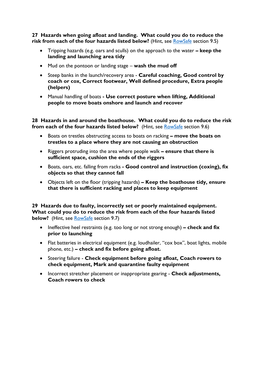**27 Hazards when going afloat and landing. What could you do to reduce the risk from each of the four hazards listed below?** (Hint, see **RowSafe** section 9.5)

- Tripping hazards (e.g. oars and sculls) on the approach to the water **– keep the landing and launching area tidy**
- Mud on the pontoon or landing stage **wash the mud off**
- Steep banks in the launch/recovery area **Careful coaching, Good control by coach or cox, Correct footwear, Well defined procedure, Extra people (helpers)**
- Manual handling of boats **- Use correct posture when lifting, Additional people to move boats onshore and launch and recover**

**28 Hazards in and around the boathouse. What could you do to reduce the risk from each of the four hazards listed below?** (Hint, see [RowSafe](https://www.britishrowing.org/wp-content/uploads/2019/04/Row-Safe-April-2019-online.pdf) section 9.6)

- Boats on trestles obstructing access to boats on racking **– move the boats on trestles to a place where they are not causing an obstruction**
- Riggers protruding into the area where people walk **– ensure that there is sufficient space, cushion the ends of the riggers**
- Boats, oars, etc. falling from racks **- Good control and instruction (coxing), fix objects so that they cannot fall**
- Objects left on the floor (tripping hazards) **– Keep the boathouse tidy, ensure that there is sufficient racking and places to keep equipment**

**29 Hazards due to faulty, incorrectly set or poorly maintained equipment. What could you do to reduce the risk from each of the four hazards listed below?** (Hint, see [RowSafe](https://www.britishrowing.org/wp-content/uploads/2019/04/Row-Safe-April-2019-online.pdf) section 9.7)

- Ineffective heel restraints (e.g. too long or not strong enough) **– check and fix prior to launching**
- Flat batteries in electrical equipment (e.g. loudhailer, "cox box", boat lights, mobile phone, etc.) **– check and fix before going afloat.**
- Steering failure **Check equipment before going afloat, Coach rowers to check equipment, Mark and quarantine faulty equipment**
- Incorrect stretcher placement or inappropriate gearing **Check adjustments, Coach rowers to check**